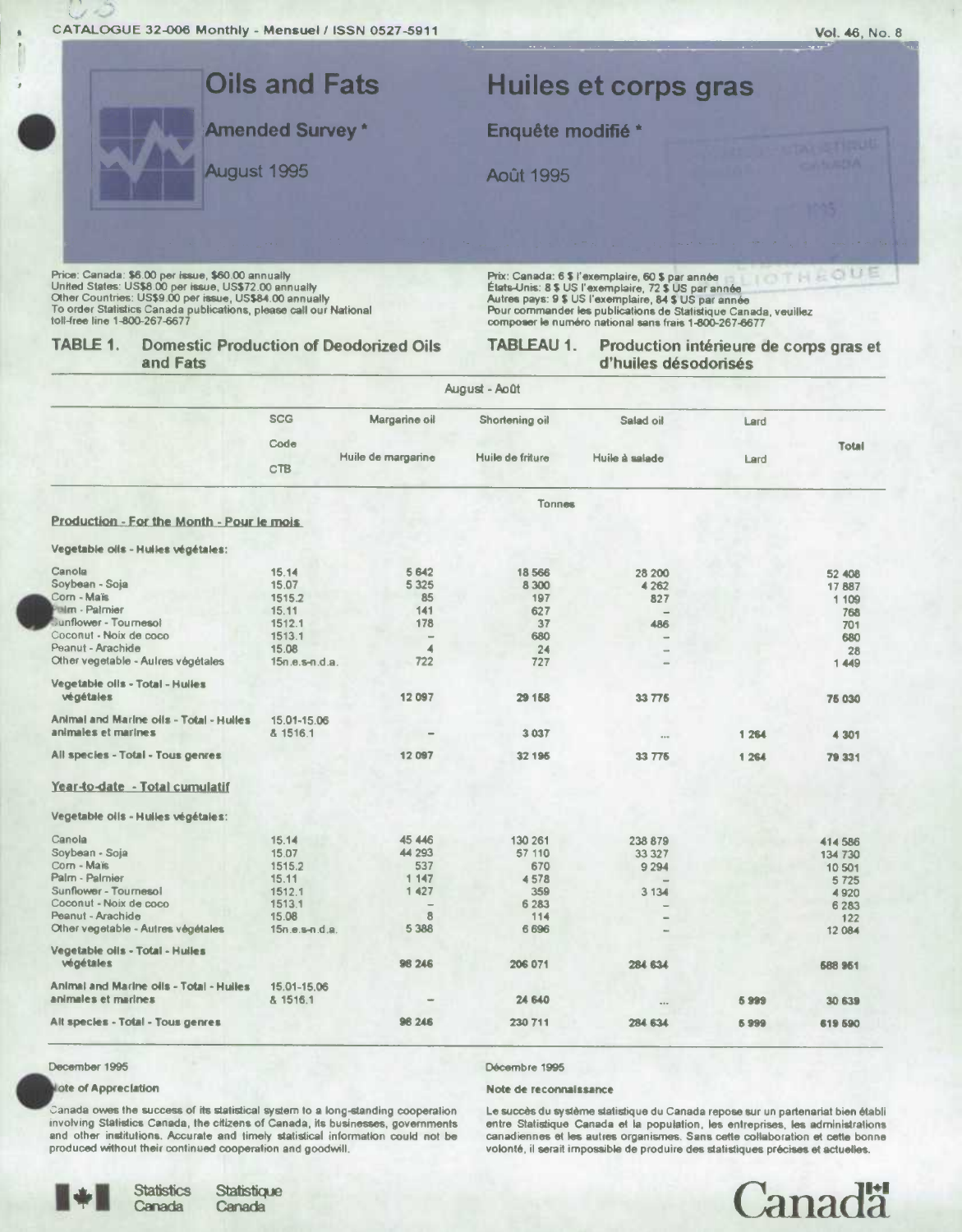

#### December 1995

. .

## lote of Appreclation

Canada owes the success of its statistical system to a long-standing cooperation involving Statistics Canada, the citizens of Canada, its businesses, governments and other institutions. Accurate and timely statistical information could not be produced without their continued cooperation and goodwill.

Décembre 1995

#### Note de reconnaissance

Le succès du système statistique du Canada repose sur un partenariat bien établi entre Statistique Canada et la population, les entreprises, les administrations canadiennes et les autres organismes. Sans cette collaboration et cette bonne volonté, il serait impossible de produire des statistiques précises et actuelles.



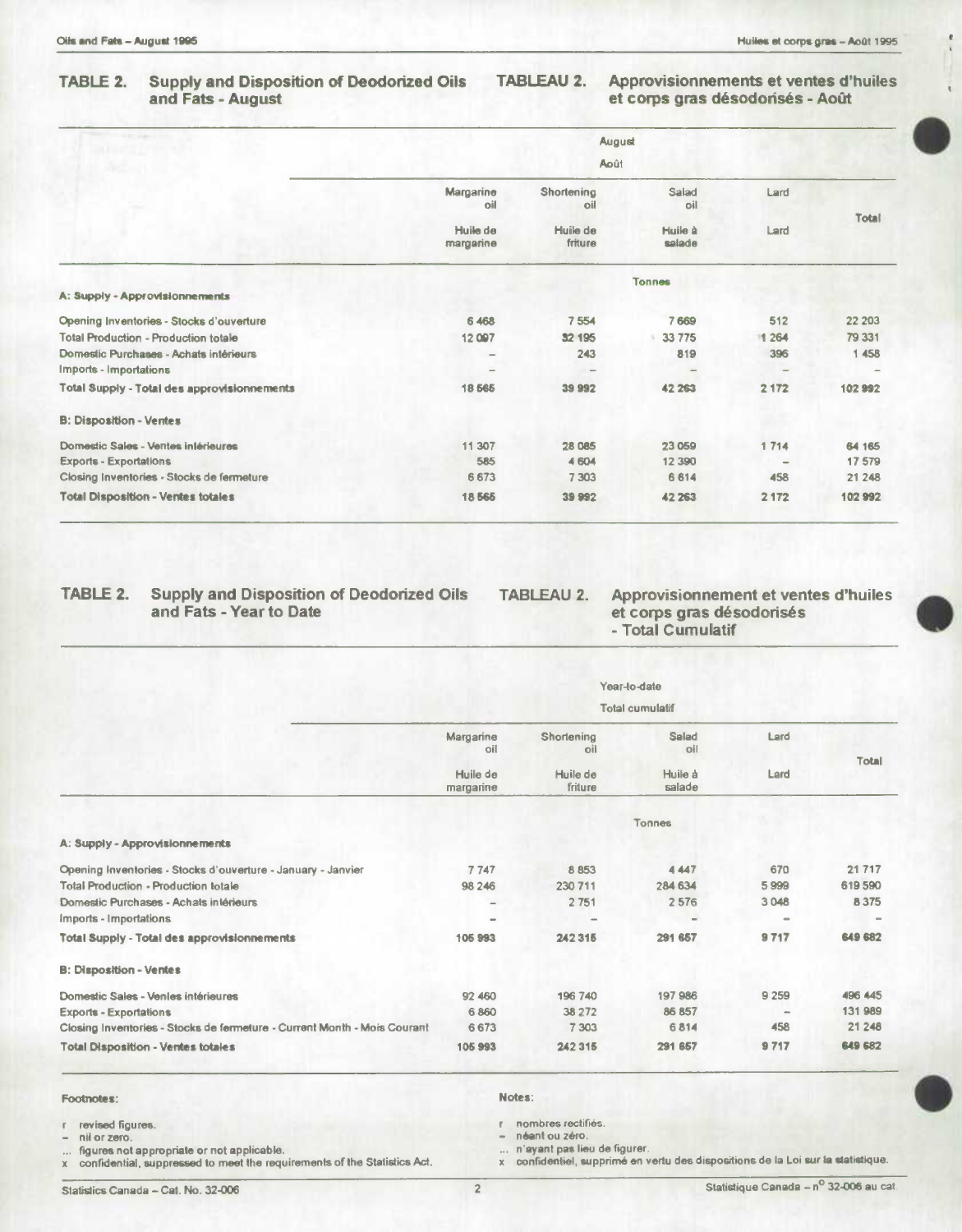| <b>STATISTICS</b> IN THE STATE                     | August                                    |                                          |                                   |              |        |  |  |  |
|----------------------------------------------------|-------------------------------------------|------------------------------------------|-----------------------------------|--------------|--------|--|--|--|
|                                                    | <b>Août</b>                               |                                          |                                   |              |        |  |  |  |
|                                                    | Margarine<br>oil<br>Huile de<br>margarine | Shortening<br>oil<br>Huile de<br>friture | Salad<br>oil<br>Huile à<br>salade | Lard<br>Lard | Total  |  |  |  |
|                                                    |                                           |                                          |                                   |              |        |  |  |  |
|                                                    | <b>Tonnes</b>                             |                                          |                                   |              |        |  |  |  |
| A: Supply - Approvisionnements                     |                                           |                                          |                                   |              |        |  |  |  |
| Opening Inventories - Stocks d'ouverture           | 6 4 6 8                                   | 7554                                     | 7669                              | 512          | 22 203 |  |  |  |
| <b>Total Production - Production totale</b>        | 12097                                     | 32 195                                   | 33 775                            | 1 264        | 79 331 |  |  |  |
| Domestic Purchases - Achats intérieurs             |                                           | 243                                      | 819                               | 396          | 1 458  |  |  |  |
| <b>Imports - Importations</b>                      |                                           |                                          |                                   |              |        |  |  |  |
| <b>Total Supply - Total des approvisionnements</b> | 18 5 65                                   | 399992                                   | 42 263                            | 2 172        | 102992 |  |  |  |
| <b>B: Disposition - Ventes</b>                     |                                           |                                          |                                   |              |        |  |  |  |
| Domestic Sales - Ventes intérieures                | 11 307                                    | 28 085                                   | 23 059                            | 1714         | 64 165 |  |  |  |
| <b>Exports - Exportations</b>                      | 585                                       | 4 604                                    | 12 3 9 0                          |              | 17 579 |  |  |  |
| Closing Inventories - Stocks de fermeture          | 6673                                      | 7 3 0 3                                  | 6 6 1 4                           | 458          | 21 248 |  |  |  |
| <b>Total Disposition - Ventes totales</b>          | 18565                                     | 39 992                                   | 42 263                            | 2 1 7 2      | 102992 |  |  |  |

# TABLE 2. Supply and Disposition of Deodorized Oils TABLEAU 2.<br>and Fats - Year to Date

et corps gras désodorisés<br>- Total Cumulatif **Approvisionnement et ventes d'huiles** 

|                                                                          | Year-to-date<br><b>Total cumulatif</b> |                     |                   |         |              |  |  |
|--------------------------------------------------------------------------|----------------------------------------|---------------------|-------------------|---------|--------------|--|--|
|                                                                          |                                        |                     |                   |         |              |  |  |
|                                                                          | Margarine<br>oil                       | Shortening<br>oil   | Salad<br>oil      | Lard    | <b>Total</b> |  |  |
|                                                                          | Huile de<br>margarine                  | Huile de<br>friture | Huile à<br>salade | Lard    |              |  |  |
|                                                                          |                                        |                     | Tonnes            |         |              |  |  |
| A: Supply - Approvisionnements                                           |                                        |                     |                   |         |              |  |  |
| Opening Inventories - Stocks d'ouverture - January - Janvier             | 7747                                   | 8853                | 4 4 4 7           | 670     | 21 717       |  |  |
| Total Production - Production totale                                     | 98 246                                 | 230 711             | 284 634           | 5999    | 619590       |  |  |
| Domestic Purchases - Achats intérieurs                                   | $\overline{\phantom{a}}$               | 2 7 5 1             | 2576              | 3 048   | 8 3 7 5      |  |  |
| Imports - Importations                                                   | $\sim$                                 |                     | -                 |         |              |  |  |
| <b>Total Supply - Total des approvisionnements</b>                       | 105 993                                | 242 315             | 291 657           | 9717    | 649 682      |  |  |
| <b>B: Disposition - Ventes</b>                                           |                                        |                     |                   |         |              |  |  |
| Domestic Sales - Venles intérieures                                      | 92 460                                 | 196 740             | 197986            | 9 2 5 9 | 496 445      |  |  |
| <b>Exports - Exportations</b>                                            | 6860                                   | 38 272              | 86 857            |         | 131 989      |  |  |
| Closing Inventories - Stocks de fermeture - Current Month - Mois Courant | 6673                                   | 7 3 0 3             | 6814              | 458     | 21 248       |  |  |
| <b>Total Disposition - Ventes totales</b>                                | 105 993                                | 242 315             | 291 657           | 9717    | 649 682      |  |  |

# Footnotes:

- **revised figures.**
- **nil or zero.**
- **figures not appropriate or not applicable.**
- **x confidential, suppressed to most the requirements of the Statistics Act.**

**Notes:** 

**r nombres rectifiés.** 

**- néent ou zero.** 

... n'ayant pas lieu de figurer.<br>x confidentiel, supprimé en vertu des dispositions de la Loi sur la statistique.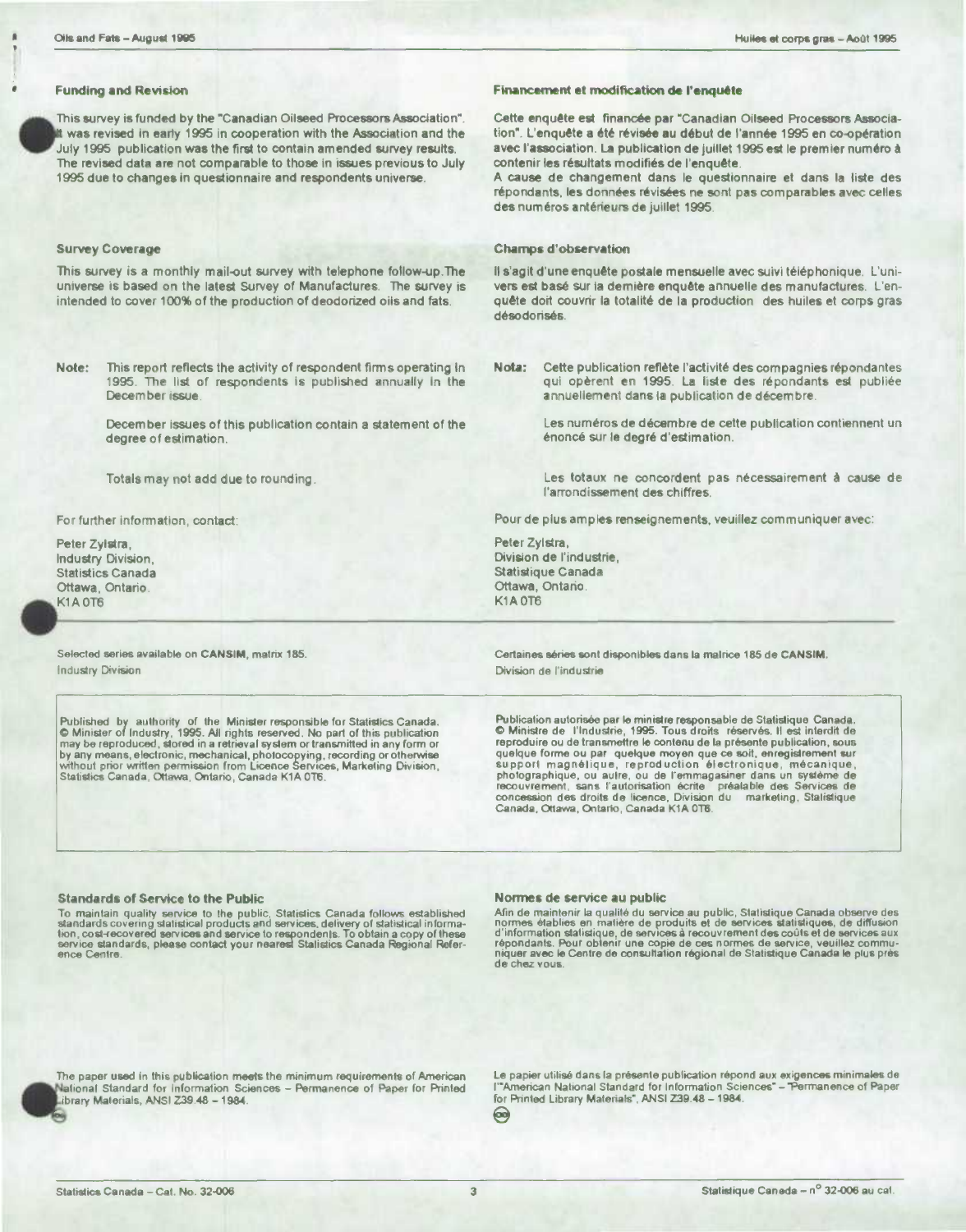## **Funding and Reviston**

 $\bullet_{\frac{1}{n}}^{\frac{n}{n}}$ This survey is funded by the "Canadian Oilseed Processors Association". was revised in early 1995 in cooperation with the Association and the July 1995 publication was the first to contain amended survey results. The revised data are not comparable to those in issues previous to July 1995 due to changes in questionnaire and respondents universe.

## Survey Coverage

This survey is a monthly mail-out survey with telephone follow-up.The universe is based on the latest Survey of Manufactures. The survey is intended to cover 100% of the production of deodorized oils and fats.

**Note:** This report reflects the activity of respondent firms operating In 1995. The list of respondents is published annually in the December issue.

> December issues of this publication contain a statement of the degree of estimation.

Totals may not add due to rounding.

For further information, contact:

Peter Zylstra, Industry Division, Statistics Canada Ottawa, Ontario. **K1A 0T6** 

Selected series available on CANSIM, matrix 185. Industry Division

# **Financement et modification de l'enquête**

Cette enquete **eat** financée par "Canadian Oilseed Processors Aseoclation". L'enquête a été révisée au début de l'année 1995 en co-opération avec l'association. La publication de juillet 1995 est le premier numéro à contenir les résultats modifiés de l'enquête.

A cause de changement dans le questionnaire et dans la liste des répondants, les données révisées ne sont pas comparables avec celles des numéros antérieurs de juillet 1995.

## **Champs d'observation**

Il s'agit d'une enquête postale mensuelle avec suivi téléphonique. L'univers est basé sur la demière enquête annuelle des manufactures. L'enquête doit couvrir la totalité de la production des huiles et corps gras désodonsés.

Nota: Cette publication reflète l'activité des compagnies répondantes qui opèrent en 1995. La liste des répondants est publiée annuellernent dans Ia publication de décembre.

> Les numéros de décembre de cette publication contiennent un énoncé sur le degré d'estimation.

> Les totaux ne concordent pas nécessairement à cause de l'arrondissement des chiffres,

Pour de plus amples renseignements, veuillez communiquer avec:

Peter Zylstra, Division de l'industrie, Statistique Canada Ottawa, Ontario. **K1A 0T6** 

Certaines séries sont disponibles dans la matrice 185 de CANSIM. Division do I'indudrie

Published\_by\_authority\_of\_the\_Minister responsible for Statistics Canada.\_\_\_\_\_\_\_\_\_Publication autorisée par le ministre responsable de Statistique\_Canada.<br>© Minister of Industry, 1995. All rights reserved. No part of this by any means, electronic, mechanical, photocopying, recording or otherwise guelque forme ou par quelque moyen que ce soit, enregistrement sur<br>without prior written permission from Licence Services, Marketing Division, sure recouvrement, sans l'autorisation écrite i préalable des Services de<br>concession des droits de licence, Division du Lmarketing, Stalistique Canada, Ottawa, Ontario, Canada K1A 0T6.

#### **Standards of Service to the Public**

To maintain quality service to the public, Statistics Canada follows established<br>standards covering statistical products and services, delivery of statistical informa-<br>tion, cost-recovered services and service to responden ence Centre

### **Normes do service** au public

Afin de maintenir la qualité du service au public, Statistique Canada observe des<br>normes établies en matière de produits et de services statistiques, de diffusion<br>d'information statistique, de services à recouvrement des c de chez vous.

The paper used in this publication meets the minimum requirements of American Le papier utilisé dans la présente publication répond aux exigences minimales de<br>National Standard for Information Sciences – Permanence of Pape

lational Standard for Information Sciences – Permanence of Paper for Printed — l'"American National Standard for Information Sciences" – "Permanence of Paper<br>Ibrary Materials", ANSI Z39.48 – 1984.